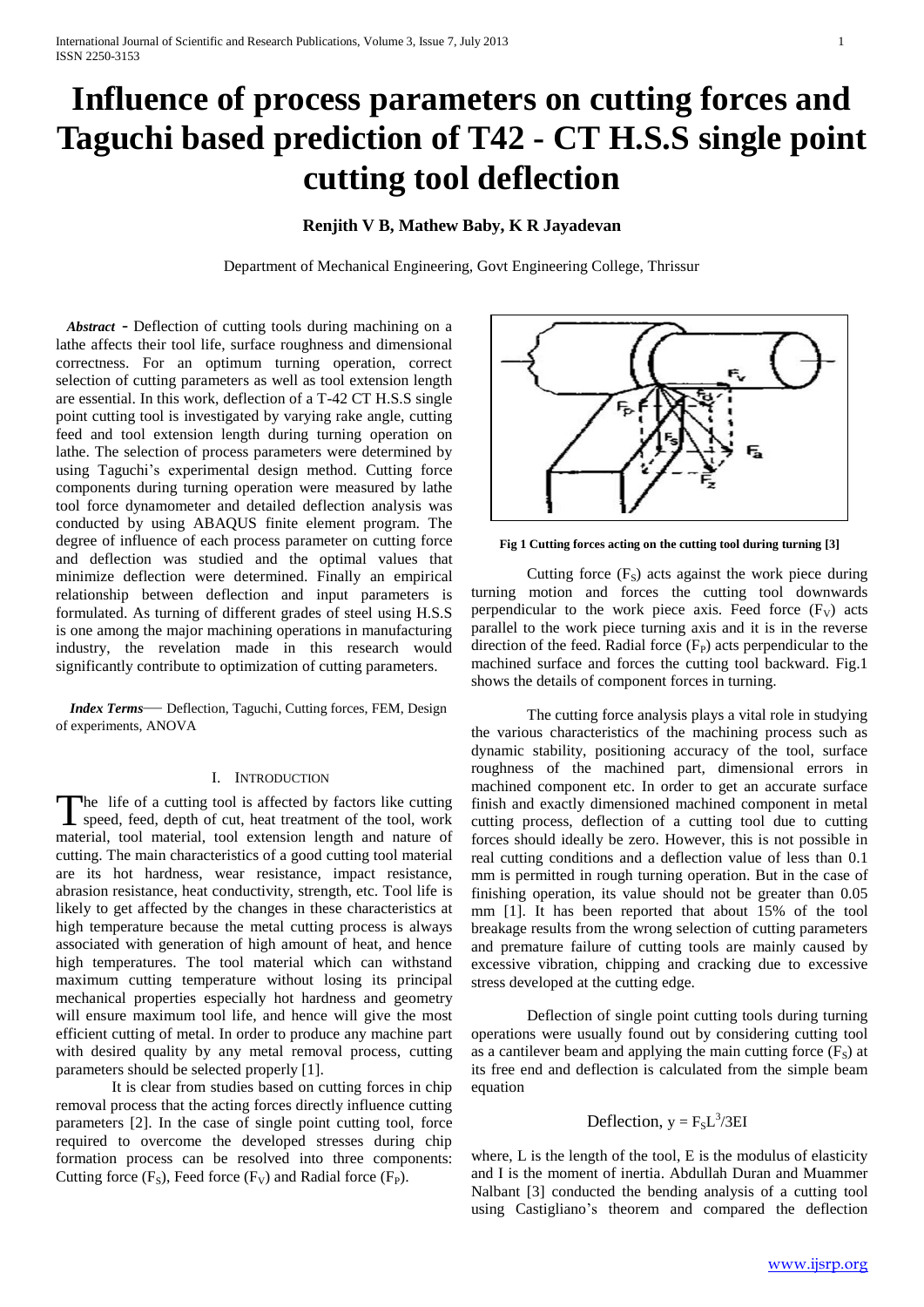# **Influence of process parameters on cutting forces and Taguchi based prediction of T42 - CT H.S.S single point cutting tool deflection**

# **Renjith V B, Mathew Baby, K R Jayadevan**

Department of Mechanical Engineering, Govt Engineering College, Thrissur

*Abstract* - Deflection of cutting tools during machining on a lathe affects their tool life, surface roughness and dimensional correctness. For an optimum turning operation, correct selection of cutting parameters as well as tool extension length are essential. In this work, deflection of a T-42 CT H.S.S single point cutting tool is investigated by varying rake angle, cutting feed and tool extension length during turning operation on lathe. The selection of process parameters were determined by using Taguchi's experimental design method. Cutting force components during turning operation were measured by lathe tool force dynamometer and detailed deflection analysis was conducted by using ABAQUS finite element program. The degree of influence of each process parameter on cutting force and deflection was studied and the optimal values that minimize deflection were determined. Finally an empirical relationship between deflection and input parameters is formulated. As turning of different grades of steel using H.S.S is one among the major machining operations in manufacturing industry, the revelation made in this research would significantly contribute to optimization of cutting parameters.

 *Index Terms*— Deflection, Taguchi, Cutting forces, FEM, Design of experiments, ANOVA

## I. INTRODUCTION

The life of a cutting tool is affected by factors like cutting The life of a cutting tool is affected by factors like cutting<br>speed, feed, depth of cut, heat treatment of the tool, work material, tool material, tool extension length and nature of cutting. The main characteristics of a good cutting tool material are its hot hardness, wear resistance, impact resistance, abrasion resistance, heat conductivity, strength, etc. Tool life is likely to get affected by the changes in these characteristics at high temperature because the metal cutting process is always associated with generation of high amount of heat, and hence high temperatures. The tool material which can withstand maximum cutting temperature without losing its principal mechanical properties especially hot hardness and geometry will ensure maximum tool life, and hence will give the most efficient cutting of metal. In order to produce any machine part with desired quality by any metal removal process, cutting parameters should be selected properly [1].

It is clear from studies based on cutting forces in chip removal process that the acting forces directly influence cutting parameters [2]. In the case of single point cutting tool, force required to overcome the developed stresses during chip formation process can be resolved into three components: Cutting force  $(F_S)$ , Feed force  $(F_V)$  and Radial force  $(F_P)$ .



**Fig 1 Cutting forces acting on the cutting tool during turning [3]**

Cutting force  $(F_s)$  acts against the work piece during turning motion and forces the cutting tool downwards perpendicular to the work piece axis. Feed force  $(F_V)$  acts parallel to the work piece turning axis and it is in the reverse direction of the feed. Radial force  $(F_P)$  acts perpendicular to the machined surface and forces the cutting tool backward. Fig.1 shows the details of component forces in turning.

The cutting force analysis plays a vital role in studying the various characteristics of the machining process such as dynamic stability, positioning accuracy of the tool, surface roughness of the machined part, dimensional errors in machined component etc. In order to get an accurate surface finish and exactly dimensioned machined component in metal cutting process, deflection of a cutting tool due to cutting forces should ideally be zero. However, this is not possible in real cutting conditions and a deflection value of less than 0.1 mm is permitted in rough turning operation. But in the case of finishing operation, its value should not be greater than 0.05 mm [1]. It has been reported that about 15% of the tool breakage results from the wrong selection of cutting parameters and premature failure of cutting tools are mainly caused by excessive vibration, chipping and cracking due to excessive stress developed at the cutting edge.

Deflection of single point cutting tools during turning operations were usually found out by considering cutting tool as a cantilever beam and applying the main cutting force  $(F<sub>S</sub>)$  at its free end and deflection is calculated from the simple beam equation

# Deflection,  $y = F_S L^3 / 3EI$

where, L is the length of the tool, E is the modulus of elasticity and I is the moment of inertia. Abdullah Duran and Muammer Nalbant [3] conducted the bending analysis of a cutting tool using Castigliano's theorem and compared the deflection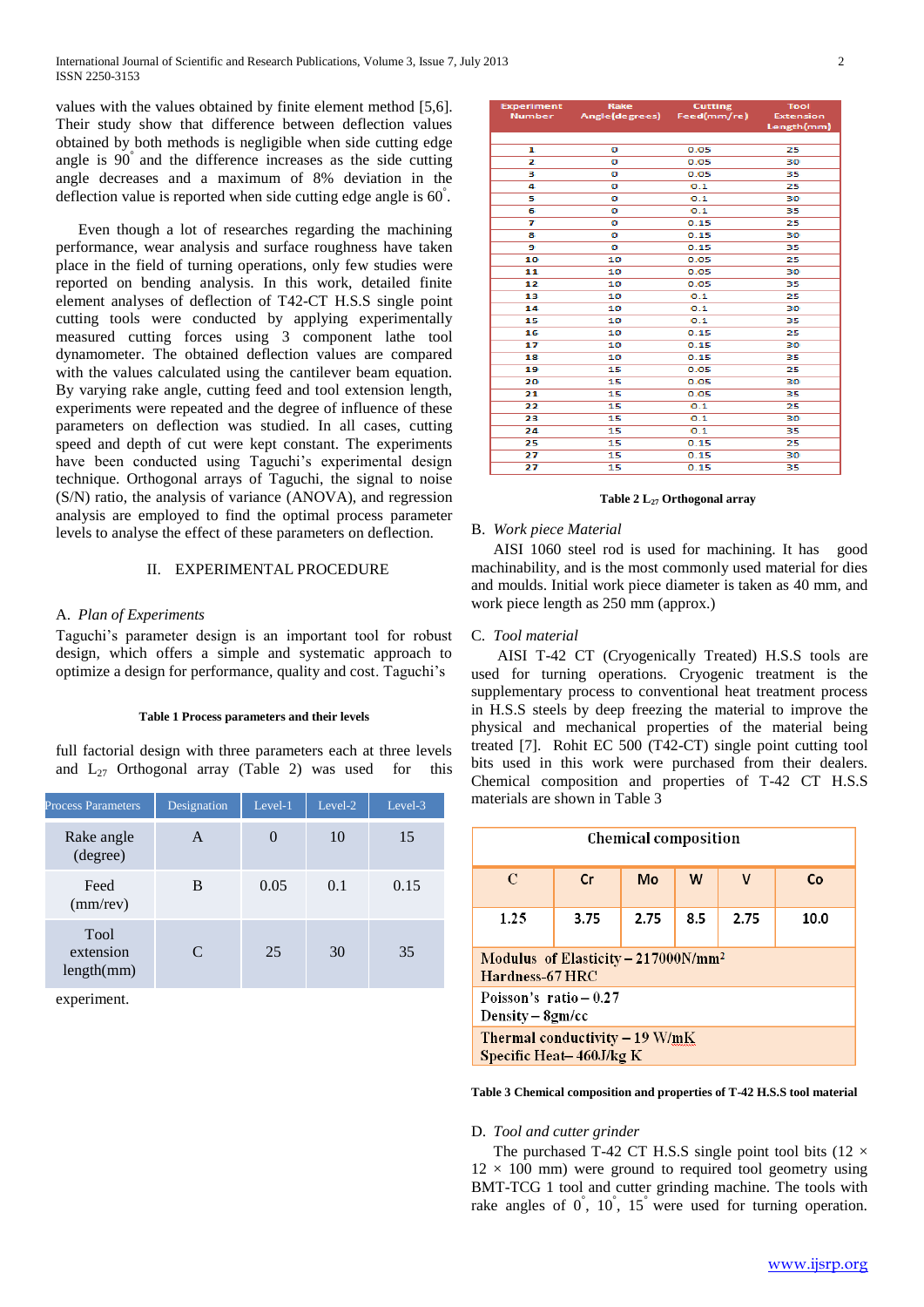values with the values obtained by finite element method [5,6]. Their study show that difference between deflection values obtained by both methods is negligible when side cutting edge angle is 90° and the difference increases as the side cutting angle decreases and a maximum of 8% deviation in the deflection value is reported when side cutting edge angle is  $60^{\degree}$ .

Even though a lot of researches regarding the machining performance, wear analysis and surface roughness have taken place in the field of turning operations, only few studies were reported on bending analysis. In this work, detailed finite element analyses of deflection of T42-CT H.S.S single point cutting tools were conducted by applying experimentally measured cutting forces using 3 component lathe tool dynamometer. The obtained deflection values are compared with the values calculated using the cantilever beam equation. By varying rake angle, cutting feed and tool extension length, experiments were repeated and the degree of influence of these parameters on deflection was studied. In all cases, cutting speed and depth of cut were kept constant. The experiments have been conducted using Taguchi's experimental design technique. Orthogonal arrays of Taguchi, the signal to noise (S/N) ratio, the analysis of variance (ANOVA), and regression analysis are employed to find the optimal process parameter levels to analyse the effect of these parameters on deflection.

# II. EXPERIMENTAL PROCEDURE

## A. *Plan of Experiments*

Taguchi's parameter design is an important tool for robust design, which offers a simple and systematic approach to optimize a design for performance, quality and cost. Taguchi's

#### **Table 1 Process parameters and their levels**

full factorial design with three parameters each at three levels and  $L_{27}$  Orthogonal array (Table 2) was used for this

| <b>Process Parameters</b>       | Designation                 | Level-1       | Level-2 | Level-3 |
|---------------------------------|-----------------------------|---------------|---------|---------|
| Rake angle<br>(degree)          | A                           | $\mathcal{O}$ | 10      | 15      |
| Feed<br>$(mm$ /rev $)$          | B                           | 0.05          | 0.1     | 0.15    |
| Tool<br>extension<br>length(mm) | $\mathcal{C}_{\mathcal{C}}$ | 25            | 30      | 35      |

experiment.

| <b>Experiment</b> | Rake                              | <b>Cutting</b> | <b>Tool</b>      |  |
|-------------------|-----------------------------------|----------------|------------------|--|
|                   | Number Angle(degrees) Feed(mm/re) |                | <b>Extension</b> |  |
|                   |                                   |                | Length(mm)       |  |
|                   |                                   |                |                  |  |
| 1                 | o                                 | 0.05           | 25               |  |
| 2                 | ٥                                 | 0.05           | 30               |  |
| з                 | o                                 | 0.05           | 35               |  |
| 4                 | o                                 | 0.1            | 25               |  |
| 5                 | o                                 | 0.1            | 30               |  |
| 6                 | o                                 | 0.1            | 35               |  |
| 7                 | o                                 | 0.15           | 25               |  |
| 8                 | ٥                                 | 0.15           | 30               |  |
| 9                 | o                                 | 0.15           | 35               |  |
| 10                | 10                                | 0.05           | 25               |  |
| 11                | 10                                | 0.05           | 30               |  |
| 12                | 10                                | 0.05           | 35               |  |
| 13                | 10                                | 0.1            | 25               |  |
| 14                | 10                                | 0.1            | 30               |  |
| 15                | 10                                | 0.1            | 35               |  |
| 16                | 10                                | 0.15           | 25               |  |
| 17                | 10                                | 0.15           | 30               |  |
| 18                | 10                                | 0.15           | 35               |  |
| 19                | 15                                | 0.05           | 25               |  |
| 20                | 15                                | 0.05           | 30               |  |
| 21                | 15                                | 0.05           | 35               |  |
| 22                | 15                                | 0.1            | 25               |  |
| 23                | 15                                | 0.1            | 30               |  |
| 24                | 15                                | 0.1            | 35               |  |
| 25                | 15                                | 0.15           | 25               |  |
| 27                | 15                                | 0.15           | 30               |  |
| 27                | 15                                | 0.15           | 35               |  |

#### **Table 2 L<sup>27</sup> Orthogonal array**

#### B. *Work piece Material*

AISI 1060 steel rod is used for machining. It has good machinability, and is the most commonly used material for dies and moulds. Initial work piece diameter is taken as 40 mm, and work piece length as 250 mm (approx.)

## C. *Tool material*

AISI T-42 CT (Cryogenically Treated) H.S.S tools are used for turning operations. Cryogenic treatment is the supplementary process to conventional heat treatment process in H.S.S steels by deep freezing the material to improve the physical and mechanical properties of the material being treated [7]. Rohit EC 500 (T42-CT) single point cutting tool bits used in this work were purchased from their dealers. Chemical composition and properties of T-42 CT H.S.S materials are shown in Table 3

| <b>Chemical composition</b>                                        |    |    |   |   |    |  |
|--------------------------------------------------------------------|----|----|---|---|----|--|
| $\mathcal{C}$                                                      | Cr | Mo | W | v | Co |  |
| 1.25<br>3.75<br>2.75<br>8.5<br>2.75<br>10.0                        |    |    |   |   |    |  |
| Modulus of Elasticity - 217000N/mm <sup>2</sup><br>Hardness-67 HRC |    |    |   |   |    |  |
| Poisson's ratio $-0.27$<br>Density – 8gm/cc                        |    |    |   |   |    |  |
| Thermal conductivity - 19 W/mK<br>Specific Heat-460J/kg K          |    |    |   |   |    |  |

**Table 3 Chemical composition and properties of T-42 H.S.S tool material**

#### D. *Tool and cutter grinder*

The purchased T-42 CT H.S.S single point tool bits (12  $\times$  $12 \times 100$  mm) were ground to required tool geometry using BMT-TCG 1 tool and cutter grinding machine. The tools with rake angles of  $0^{\degree}$ ,  $10^{\degree}$ ,  $15^{\degree}$  were used for turning operation.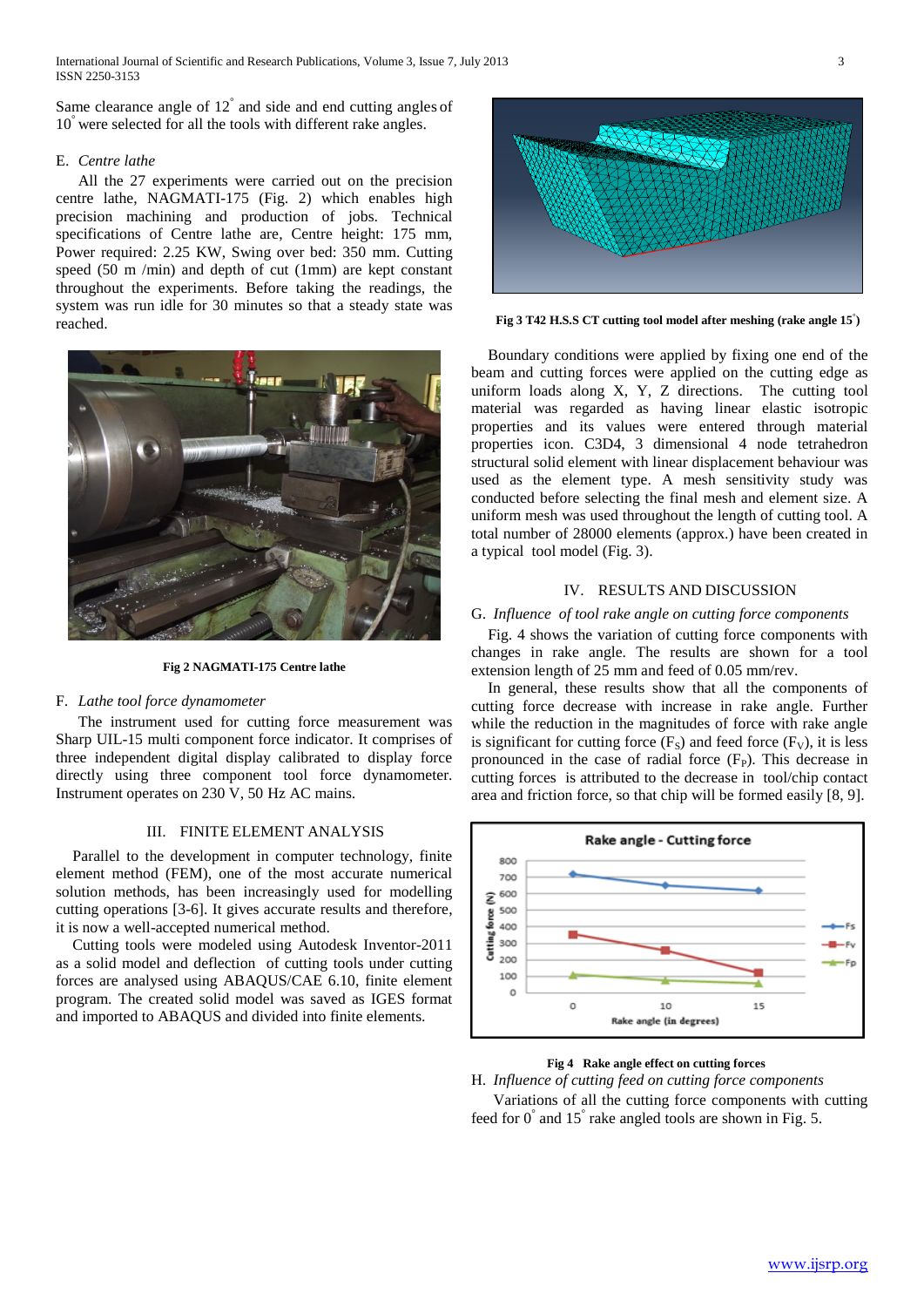International Journal of Scientific and Research Publications, Volume 3, Issue 7, July 2013 3 ISSN 2250-3153

Same clearance angle of  $12^{\degree}$  and side and end cutting angles of 10 ° were selected for all the tools with different rake angles.

# E. *Centre lathe*

All the 27 experiments were carried out on the precision centre lathe, NAGMATI-175 (Fig. 2) which enables high precision machining and production of jobs. Technical specifications of Centre lathe are, Centre height: 175 mm, Power required: 2.25 KW, Swing over bed: 350 mm. Cutting speed (50 m /min) and depth of cut (1mm) are kept constant throughout the experiments. Before taking the readings, the system was run idle for 30 minutes so that a steady state was reached.



**Fig 2 NAGMATI-175 Centre lathe**

## F. *Lathe tool force dynamometer*

The instrument used for cutting force measurement was Sharp UIL-15 multi component force indicator. It comprises of three independent digital display calibrated to display force directly using three component tool force dynamometer. Instrument operates on 230 V, 50 Hz AC mains.

#### III. FINITE ELEMENT ANALYSIS

Parallel to the development in computer technology, finite element method (FEM), one of the most accurate numerical solution methods, has been increasingly used for modelling cutting operations [3-6]. It gives accurate results and therefore, it is now a well-accepted numerical method.

Cutting tools were modeled using Autodesk Inventor-2011 as a solid model and deflection of cutting tools under cutting forces are analysed using ABAQUS/CAE 6.10, finite element program. The created solid model was saved as IGES format and imported to ABAQUS and divided into finite elements.



**Fig 3 T42 H.S.S CT cutting tool model after meshing (rake angle 15° )**

Boundary conditions were applied by fixing one end of the beam and cutting forces were applied on the cutting edge as uniform loads along X, Y, Z directions. The cutting tool material was regarded as having linear elastic isotropic properties and its values were entered through material properties icon. C3D4, 3 dimensional 4 node tetrahedron structural solid element with linear displacement behaviour was used as the element type. A mesh sensitivity study was conducted before selecting the final mesh and element size. A uniform mesh was used throughout the length of cutting tool. A total number of 28000 elements (approx.) have been created in a typical tool model (Fig. 3).

# IV. RESULTS AND DISCUSSION

## G. *Influence of tool rake angle on cutting force components*

Fig. 4 shows the variation of cutting force components with changes in rake angle. The results are shown for a tool extension length of 25 mm and feed of 0.05 mm/rev.

In general, these results show that all the components of cutting force decrease with increase in rake angle. Further while the reduction in the magnitudes of force with rake angle is significant for cutting force  $(F_S)$  and feed force  $(F_V)$ , it is less pronounced in the case of radial force  $(F<sub>P</sub>)$ . This decrease in cutting forces is attributed to the decrease in tool/chip contact area and friction force, so that chip will be formed easily [8, 9].



### **Fig 4 Rake angle effect on cutting forces**

H. *Influence of cutting feed on cutting force components* Variations of all the cutting force components with cutting feed for  $0^{\degree}$  and  $15^{\degree}$  rake angled tools are shown in Fig. 5.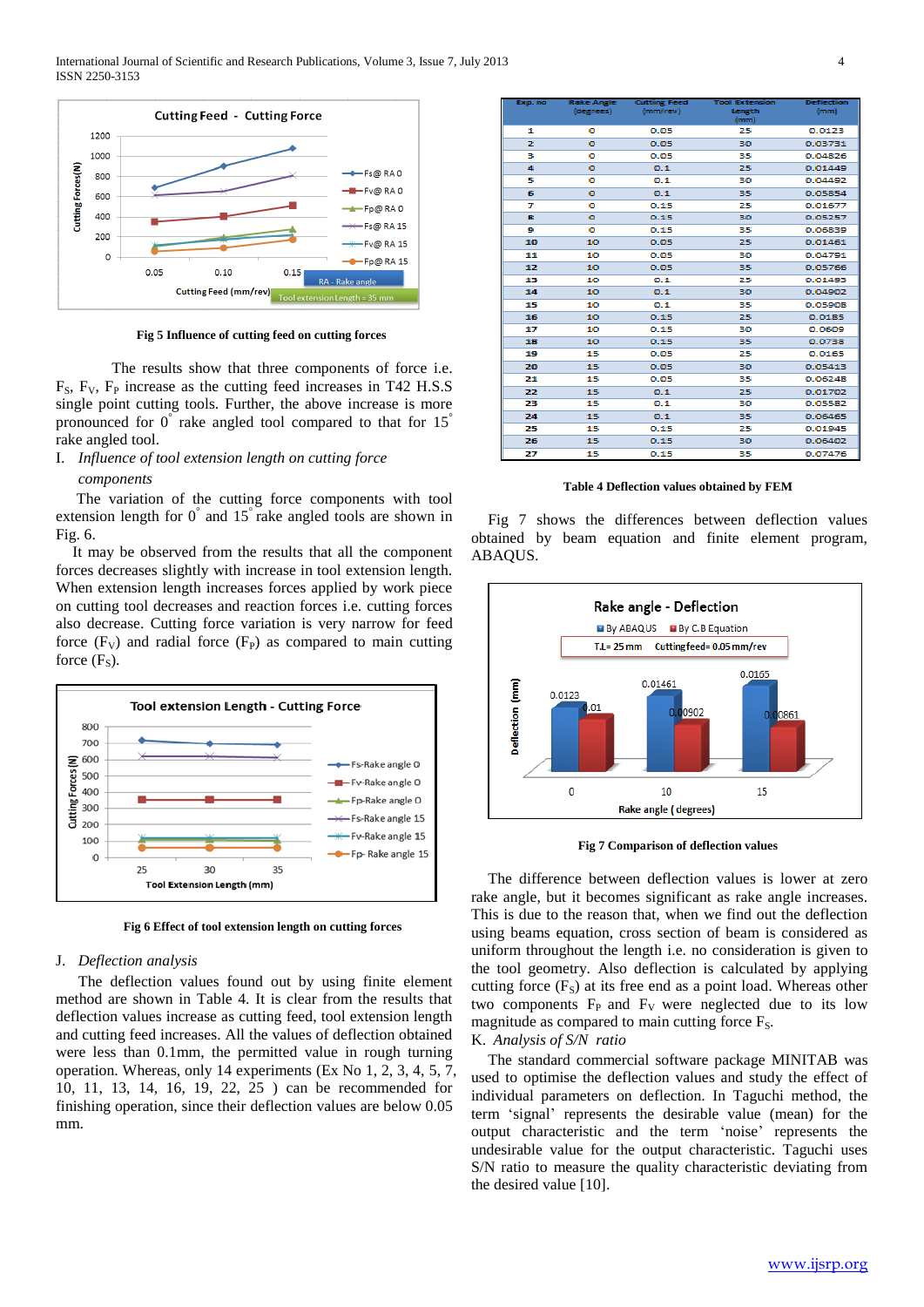

 **Fig 5 Influence of cutting feed on cutting forces**

The results show that three components of force i.e.  $F<sub>S</sub>$ ,  $F<sub>V</sub>$ ,  $F<sub>P</sub>$  increase as the cutting feed increases in T42 H.S.S single point cutting tools. Further, the above increase is more pronounced for  $0^{\degree}$  rake angled tool compared to that for 15<sup>°</sup> rake angled tool.

I. *Influence of tool extension length on cutting force* 

#### *components*

The variation of the cutting force components with tool extension length for  $0^{\degree}$  and  $15^{\degree}$  rake angled tools are shown in Fig. 6.

It may be observed from the results that all the component forces decreases slightly with increase in tool extension length. When extension length increases forces applied by work piece on cutting tool decreases and reaction forces i.e. cutting forces also decrease. Cutting force variation is very narrow for feed force  $(F_V)$  and radial force  $(F_P)$  as compared to main cutting force  $(F_s)$ .



**Fig 6 Effect of tool extension length on cutting forces**

# J. *Deflection analysis*

The deflection values found out by using finite element method are shown in Table 4. It is clear from the results that deflection values increase as cutting feed, tool extension length and cutting feed increases. All the values of deflection obtained were less than 0.1mm, the permitted value in rough turning operation. Whereas, only 14 experiments (Ex No 1, 2, 3, 4, 5, 7, 10, 11, 13, 14, 16, 19, 22, 25 ) can be recommended for finishing operation, since their deflection values are below 0.05 mm.

| Exp. no | <b>Rake Angle</b> | <b>Cutting Feed</b> | <b>Tool Extension</b> | <b>Deflection</b> |
|---------|-------------------|---------------------|-----------------------|-------------------|
|         | (degrees)         | (mm/rev)            | Length<br>(mm)        | (mm)              |
| 1       | ۰                 | 0.05                | 25                    | 0.0123            |
|         |                   |                     |                       |                   |
| z       | ۰                 | 0.05                | 30                    | 0.03731           |
| з       | ۰                 | 0.05                | 35                    | 0.04826           |
| 4       | ۰                 | 0.1                 | 25                    | 0.01449           |
| 5       | ۰                 | 0.1                 | 30                    | 0.04492           |
| 6       | ۰                 | 0.1                 | 35                    | 0.05854           |
| 7       | ۰                 | 0.15                | 25                    | 0.01677           |
| 8       | ۰                 | 0.15                | 30                    | 0.05257           |
| ۰       | ۰                 | 0.15                | 35                    | 0.06839           |
| 10      | 10                | 0.05                | 25                    | 0.01461           |
| 11      | 10                | 0.05                | 30                    | 0.04791           |
| 12      | 10                | 0.05                | 35                    | 0.05766           |
| 13      | 10                | 0.1                 | 25                    | 0.01493           |
| 14      | 10                | 0.1                 | 30                    | 0.04902           |
| 15      | 10                | 0.1                 | 35                    | 0.05908           |
| 16      | 10                | 0.15                | 25                    | 0.0185            |
| 17      | 10                | 0.15                | 30                    | 0.0609            |
| 18      | 10                | 0.15                | 35                    | 0.0738            |
| 19      | 15                | 0.05                | 25                    | 0.0165            |
| 20      | 15                | 0.05                | 30                    | 0.05413           |
| 21      | 15                | 0.05                | 35                    | 0.06248           |
| 22      | 15                | 0.1                 | 25                    | 0.01702           |
| 23      | 15                | 0.1                 | 30                    | 0.05582           |
| 24      | 15                | 0.1                 | 35                    | 0.06465           |
| 25      | 15                | 0.15                | 25                    | 0.01945           |
| 26      | 15                | 0.15                | 30                    | 0.06402           |
| 27      | 15                | 0.15                | 35                    | 0.07476           |

#### **Table 4 Deflection values obtained by FEM**

Fig 7 shows the differences between deflection values obtained by beam equation and finite element program, ABAQUS.



**Fig 7 Comparison of deflection values**

The difference between deflection values is lower at zero rake angle, but it becomes significant as rake angle increases. This is due to the reason that, when we find out the deflection using beams equation, cross section of beam is considered as uniform throughout the length i.e. no consideration is given to the tool geometry. Also deflection is calculated by applying cutting force  $(F<sub>S</sub>)$  at its free end as a point load. Whereas other two components  $F_P$  and  $F_V$  were neglected due to its low magnitude as compared to main cutting force  $F_s$ .

K. *Analysis of S/N ratio*

The standard commercial software package MINITAB was used to optimise the deflection values and study the effect of individual parameters on deflection. In Taguchi method, the term 'signal' represents the desirable value (mean) for the output characteristic and the term 'noise' represents the undesirable value for the output characteristic. Taguchi uses S/N ratio to measure the quality characteristic deviating from the desired value [10].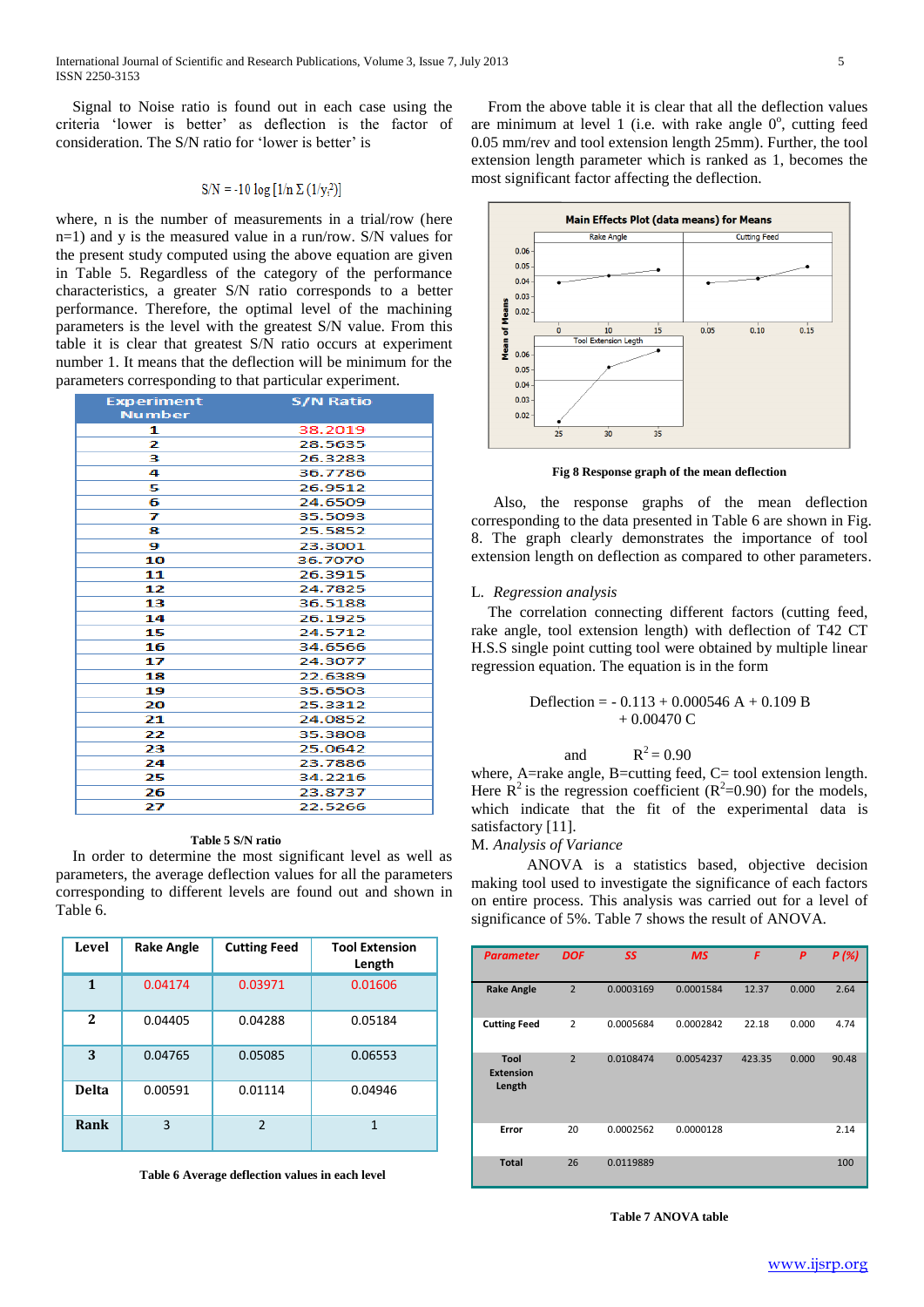Signal to Noise ratio is found out in each case using the criteria 'lower is better' as deflection is the factor of consideration. The S/N ratio for 'lower is better' is

$$
S/N = -10 \log [1/n \Sigma (1/y_i^2)]
$$

where, n is the number of measurements in a trial/row (here n=1) and y is the measured value in a run/row. S/N values for the present study computed using the above equation are given in Table 5. Regardless of the category of the performance characteristics, a greater S/N ratio corresponds to a better performance. Therefore, the optimal level of the machining parameters is the level with the greatest S/N value. From this table it is clear that greatest S/N ratio occurs at experiment number 1. It means that the deflection will be minimum for the parameters corresponding to that particular experiment.

| <b>Experiment</b> | <b>S/N Ratio</b> |
|-------------------|------------------|
| <b>Number</b>     |                  |
| 1                 | 38.2019          |
| 2                 | 28.5635          |
| з                 | 26.3283          |
| 4                 | 36.7786          |
| 5                 | 26.9512          |
| 6                 | 24.6509          |
| 7                 | 35.5093          |
| 8                 | 25.5852          |
| 9                 | 23.3001          |
| 10                | 36.7070          |
| 11                | 26.3915          |
| 12                | 24.7825          |
| 13                | 36.5188          |
| 14                | 26.1925          |
| 15                | 24.5712          |
| 16                | 34.6566          |
| 17                | 24.3077          |
| 18                | 22.6389          |
| 19                | 35.6503          |
| 20                | 25.3312          |
| 21                | 24.0852          |
| 22                | 35.3808          |
| 23                | 25.0642          |
| 24                | 23.7886          |
| 25                | 34.2216          |
| 26                | 23.8737          |
| フフ                | 22.5266          |

#### **Table 5 S/N ratio**

In order to determine the most significant level as well as parameters, the average deflection values for all the parameters corresponding to different levels are found out and shown in Table 6.

| Level        | <b>Rake Angle</b> | <b>Cutting Feed</b> | <b>Tool Extension</b><br>Length |
|--------------|-------------------|---------------------|---------------------------------|
| 1            | 0.04174           | 0.03971             | 0.01606                         |
| $\mathbf{2}$ | 0.04405           | 0.04288             | 0.05184                         |
| 3            | 0.04765           | 0.05085             | 0.06553                         |
| <b>Delta</b> | 0.00591           | 0.01114             | 0.04946                         |
| Rank         | 3                 | $\mathfrak z$       | 1                               |

**Table 6 Average deflection values in each level**

From the above table it is clear that all the deflection values are minimum at level 1 (i.e. with rake angle  $0^\circ$ , cutting feed 0.05 mm/rev and tool extension length 25mm). Further, the tool extension length parameter which is ranked as 1, becomes the most significant factor affecting the deflection.



**Fig 8 Response graph of the mean deflection**

Also, the response graphs of the mean deflection corresponding to the data presented in Table 6 are shown in Fig. 8. The graph clearly demonstrates the importance of tool extension length on deflection as compared to other parameters.

#### L. *Regression analysis*

The correlation connecting different factors (cutting feed, rake angle, tool extension length) with deflection of T42 CT H.S.S single point cutting tool were obtained by multiple linear regression equation. The equation is in the form

$$
\text{Deflection} = -0.113 + 0.000546 \text{ A} + 0.109 \text{ B} + 0.00470 \text{ C}
$$

$$
R^2=0.90
$$

where, A=rake angle, B=cutting feed, C= tool extension length. Here  $R^2$  is the regression coefficient ( $R^2$ =0.90) for the models, which indicate that the fit of the experimental data is satisfactory [11].

# M. *Analysis of Variance*

and

ANOVA is a statistics based, objective decision making tool used to investigate the significance of each factors on entire process. This analysis was carried out for a level of significance of 5%. Table 7 shows the result of ANOVA.

| <b>Parameter</b>                   | <b>DOF</b>     | SS        | <b>MS</b> | F      | P     | P(%)  |
|------------------------------------|----------------|-----------|-----------|--------|-------|-------|
| <b>Rake Angle</b>                  | $\overline{2}$ | 0.0003169 | 0.0001584 | 12.37  | 0.000 | 2.64  |
| <b>Cutting Feed</b>                | $\overline{2}$ | 0.0005684 | 0.0002842 | 22.18  | 0.000 | 4.74  |
| Tool<br><b>Extension</b><br>Length | $\overline{2}$ | 0.0108474 | 0.0054237 | 423.35 | 0.000 | 90.48 |
| Error                              | 20             | 0.0002562 | 0.0000128 |        |       | 2.14  |
| <b>Total</b>                       | 26             | 0.0119889 |           |        |       | 100   |

**Table 7 ANOVA table**